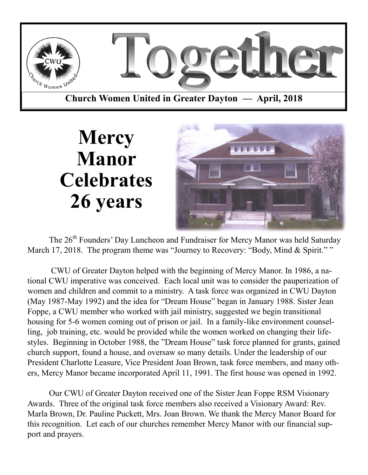

# **Mercy Manor Celebrates 26 years**



The 26<sup>th</sup> Founders' Day Luncheon and Fundraiser for Mercy Manor was held Saturday March 17, 2018. The program theme was "Journey to Recovery: "Body, Mind & Spirit.""

 CWU of Greater Dayton helped with the beginning of Mercy Manor. In 1986, a national CWU imperative was conceived. Each local unit was to consider the pauperization of women and children and commit to a ministry. A task force was organized in CWU Dayton (May 1987-May 1992) and the idea for "Dream House" began in January 1988. Sister Jean Foppe, a CWU member who worked with jail ministry, suggested we begin transitional housing for 5-6 women coming out of prison or jail. In a family-like environment counselling, job training, etc. would be provided while the women worked on changing their lifestyles. Beginning in October 1988, the "Dream House" task force planned for grants, gained church support, found a house, and oversaw so many details. Under the leadership of our President Charlotte Leasure, Vice President Joan Brown, task force members, and many others, Mercy Manor became incorporated April 11, 1991. The first house was opened in 1992.

Our CWU of Greater Dayton received one of the Sister Jean Foppe RSM Visionary Awards. Three of the original task force members also received a Visionary Award: Rev. Marla Brown, Dr. Pauline Puckett, Mrs. Joan Brown. We thank the Mercy Manor Board for this recognition. Let each of our churches remember Mercy Manor with our financial support and prayers.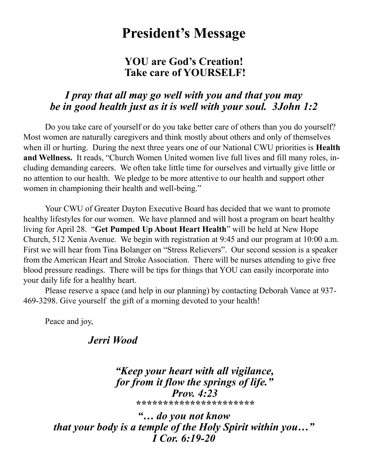# **President's Message**

### **YOU are God's Creation! Take care of YOURSELF!**

### *I pray that all may go well with you and that you may be in good health just as it is well with your soul. 3John 1:2*

Do you take care of yourself or do you take better care of others than you do yourself? Most women are naturally caregivers and think mostly about others and only of themselves when ill or hurting. During the next three years one of our National CWU priorities is **Health and Wellness.** It reads, "Church Women United women live full lives and fill many roles, including demanding careers. We often take little time for ourselves and virtually give little or no attention to our health. We pledge to be more attentive to our health and support other women in championing their health and well-being."

Your CWU of Greater Dayton Executive Board has decided that we want to promote healthy lifestyles for our women. We have planned and will host a program on heart healthy living for April 28. "**Get Pumped Up About Heart Health**" will be held at New Hope Church, 512 Xenia Avenue. We begin with registration at 9:45 and our program at 10:00 a.m. First we will hear from Tina Bolanger on "Stress Relievers". Our second session is a speaker from the American Heart and Stroke Association. There will be nurses attending to give free blood pressure readings. There will be tips for things that YOU can easily incorporate into your daily life for a healthy heart.

Please reserve a space (and help in our planning) by contacting Deborah Vance at 937- 469-3298. Give yourself the gift of a morning devoted to your health!

Peace and joy,

*Jerri Wood*

*"Keep your heart with all vigilance, for from it flow the springs of life." Prov. 4:23 \*\*\*\*\*\*\*\*\*\*\*\*\*\*\*\*\*\*\*\*\*\**

*"… do you not know that your body is a temple of the Holy Spirit within you…" I Cor. 6:19-20*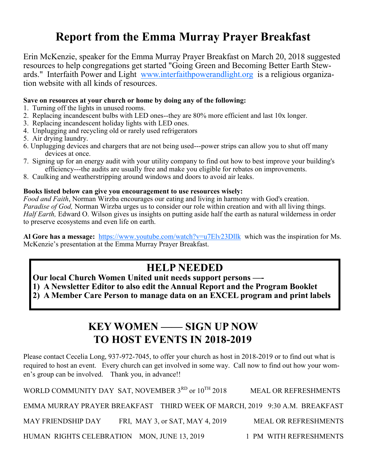# **Report from the Emma Murray Prayer Breakfast**

Erin McKenzie, speaker for the Emma Murray Prayer Breakfast on March 20, 2018 suggested resources to help congregations get started "Going Green and Becoming Better Earth Stewards." Interfaith Power and Light [www.interfaithpowerandlight.org](http://www.interfaithpowerandlight.org) is a religious organization website with all kinds of resources.

#### **Save on resources at your church or home by doing any of the following:**

- 1. Turning off the lights in unused rooms.
- 2. Replacing incandescent bulbs with LED ones--they are 80% more efficient and last 10x longer.
- 3. Replacing incandescent holiday lights with LED ones.
- 4. Unplugging and recycling old or rarely used refrigerators
- 5. Air drying laundry.
- 6. Unplugging devices and chargers that are not being used---power strips can allow you to shut off many devices at once.
- 7. Signing up for an energy audit with your utility company to find out how to best improve your building's efficiency---the audits are usually free and make you eligible for rebates on improvements.
- 8. Caulking and weatherstripping around windows and doors to avoid air leaks.

#### **Books listed below can give you encouragement to use resources wisely:**

*Food and Faith*, Norman Wirzba encourages our eating and living in harmony with God's creation. *Paradise of God,* Norman Wirzba urges us to consider our role within creation and with all living things. *Half Earth,* Edward O. Wilson gives us insights on putting aside half the earth as natural wilderness in order to preserve ecosystems and even life on earth.

**Al Gore has a message:** <https://www.youtube.com/watch?v=u7Elv23Dllk>which was the inspiration for Ms. McKenzie's presentation at the Emma Murray Prayer Breakfast.

## **HELP NEEDED**

**Our local Church Women United unit needs support persons —-**

**1) A Newsletter Editor to also edit the Annual Report and the Program Booklet 2) A Member Care Person to manage data on an EXCEL program and print labels** 

## **KEY WOMEN —— SIGN UP NOW TO HOST EVENTS IN 2018-2019**

Please contact Cecelia Long, 937-972-7045, to offer your church as host in 2018-2019 or to find out what is required to host an event. Every church can get involved in some way. Call now to find out how your women's group can be involved. Thank you, in advance!!

| WORLD COMMUNITY DAY SAT, NOVEMBER 3 <sup>RD</sup> or 10 <sup>TH</sup> 2018 |                                 | <b>MEAL OR REFRESHMENTS</b> |  |
|----------------------------------------------------------------------------|---------------------------------|-----------------------------|--|
| EMMA MURRAY PRAYER BREAKFAST THIRD WEEK OF MARCH, 2019 9:30 A.M. BREAKFAST |                                 |                             |  |
| <b>MAY FRIENDSHIP DAY</b>                                                  | FRI, MAY 3, or SAT, MAY 4, 2019 | <b>MEAL OR REFRESHMENTS</b> |  |
| HUMAN RIGHTS CELEBRATION MON, JUNE 13, 2019                                |                                 | 1 PM WITH REFRESHMENTS      |  |